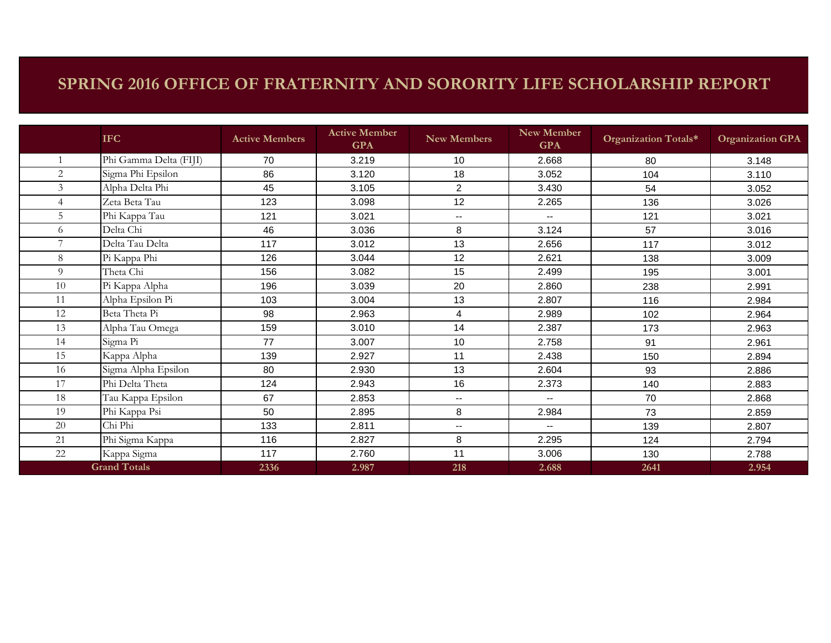## **SPRING 2016 OFFICE OF FRATERNITY AND SORORITY LIFE SCHOLARSHIP REPORT**

|                     | <b>IFC</b>             | <b>Active Members</b> | <b>Active Member</b><br><b>GPA</b> | <b>New Members</b>       | <b>New Member</b><br><b>GPA</b> | Organization Totals* | <b>Organization GPA</b> |
|---------------------|------------------------|-----------------------|------------------------------------|--------------------------|---------------------------------|----------------------|-------------------------|
|                     | Phi Gamma Delta (FIJI) | 70                    | 3.219                              | 10                       | 2.668                           | 80                   | 3.148                   |
| 2                   | Sigma Phi Epsilon      | 86                    | 3.120                              | 18                       | 3.052                           | 104                  | 3.110                   |
| $\mathfrak{Z}$      | Alpha Delta Phi        | 45                    | 3.105                              | $\overline{c}$           | 3.430                           | 54                   | 3.052                   |
| $\overline{4}$      | Zeta Beta Tau          | 123                   | 3.098                              | 12                       | 2.265                           | 136                  | 3.026                   |
| 5                   | Phi Kappa Tau          | 121                   | 3.021                              | $\overline{\phantom{a}}$ | $\overline{\phantom{a}}$        | 121                  | 3.021                   |
| 6                   | Delta Chi              | 46                    | 3.036                              | 8                        | 3.124                           | 57                   | 3.016                   |
| $\overline{7}$      | Delta Tau Delta        | 117                   | 3.012                              | 13                       | 2.656                           | 117                  | 3.012                   |
| 8                   | Pi Kappa Phi           | 126                   | 3.044                              | 12                       | 2.621                           | 138                  | 3.009                   |
| 9                   | Theta Chi              | 156                   | 3.082                              | 15                       | 2.499                           | 195                  | 3.001                   |
| 10                  | Pi Kappa Alpha         | 196                   | 3.039                              | 20                       | 2.860                           | 238                  | 2.991                   |
| 11                  | Alpha Epsilon Pi       | 103                   | 3.004                              | 13                       | 2.807                           | 116                  | 2.984                   |
| 12                  | Beta Theta Pi          | 98                    | 2.963                              | 4                        | 2.989                           | 102                  | 2.964                   |
| 13                  | Alpha Tau Omega        | 159                   | 3.010                              | 14                       | 2.387                           | 173                  | 2.963                   |
| 14                  | Sigma Pi               | 77                    | 3.007                              | 10                       | 2.758                           | 91                   | 2.961                   |
| 15                  | Kappa Alpha            | 139                   | 2.927                              | 11                       | 2.438                           | 150                  | 2.894                   |
| 16                  | Sigma Alpha Epsilon    | 80                    | 2.930                              | 13                       | 2.604                           | 93                   | 2.886                   |
| 17                  | Phi Delta Theta        | 124                   | 2.943                              | 16                       | 2.373                           | 140                  | 2.883                   |
| 18                  | Tau Kappa Epsilon      | 67                    | 2.853                              | $\mathbf{u}$             | $\sim$ $\sim$                   | 70                   | 2.868                   |
| 19                  | Phi Kappa Psi          | 50                    | 2.895                              | 8                        | 2.984                           | 73                   | 2.859                   |
| 20                  | Chi Phi                | 133                   | 2.811                              | $\overline{\phantom{a}}$ | $\overline{\phantom{a}}$        | 139                  | 2.807                   |
| 21                  | Phi Sigma Kappa        | 116                   | 2.827                              | 8                        | 2.295                           | 124                  | 2.794                   |
| 22                  | Kappa Sigma            | 117                   | 2.760                              | 11                       | 3.006                           | 130                  | 2.788                   |
| <b>Grand Totals</b> |                        | 2336                  | 2.987                              | 218                      | 2.688                           | 2641                 | 2.954                   |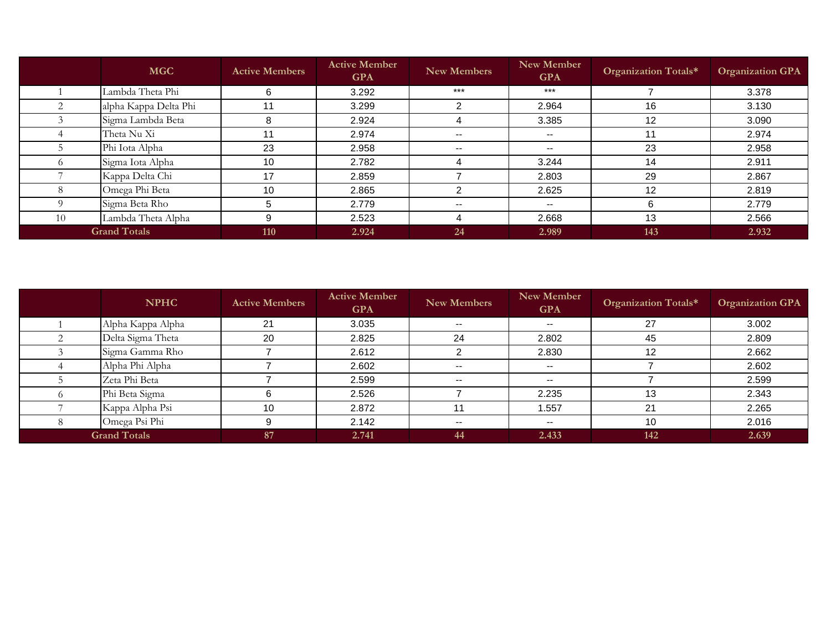|    | <b>MGC</b>            | <b>Active Members</b> | <b>Active Member</b><br><b>GPA</b> | <b>New Members</b>       | New Member<br><b>GPA</b> | Organization Totals* | <b>Organization GPA</b> |
|----|-----------------------|-----------------------|------------------------------------|--------------------------|--------------------------|----------------------|-------------------------|
|    | Lambda Theta Phi      | 6                     | 3.292                              | $***$                    | $***$                    |                      | 3.378                   |
|    | alpha Kappa Delta Phi | 11                    | 3.299                              | ◠                        | 2.964                    | 16                   | 3.130                   |
|    | Sigma Lambda Beta     | 8                     | 2.924                              | 4                        | 3.385                    | 12                   | 3.090                   |
|    | Theta Nu Xi           | 11                    | 2.974                              | $\overline{\phantom{a}}$ | $\sim$ $\sim$            | 11                   | 2.974                   |
|    | Phi Iota Alpha        | 23                    | 2.958                              | $\overline{\phantom{a}}$ | $\sim$ $\sim$            | 23                   | 2.958                   |
|    | Sigma Iota Alpha      | 10                    | 2.782                              |                          | 3.244                    | 14                   | 2.911                   |
|    | Kappa Delta Chi       | 17                    | 2.859                              |                          | 2.803                    | 29                   | 2.867                   |
|    | Omega Phi Beta        | 10                    | 2.865                              | っ                        | 2.625                    | 12                   | 2.819                   |
|    | Sigma Beta Rho        | 5                     | 2.779                              | $\overline{\phantom{m}}$ | $- -$                    | 6                    | 2.779                   |
| 10 | Lambda Theta Alpha    | 9                     | 2.523                              | Δ                        | 2.668                    | 13                   | 2.566                   |
|    | <b>Grand Totals</b>   | 110                   | 2.924                              | 24                       | 2.989                    | 143                  | 2.932                   |

| <b>NPHC</b>         | <b>Active Members</b> | <b>Active Member</b><br><b>GPA</b> | New Members              | New Member<br><b>GPA</b> | Organization Totals* | <b>Organization GPA</b> |
|---------------------|-----------------------|------------------------------------|--------------------------|--------------------------|----------------------|-------------------------|
| Alpha Kappa Alpha   | 21                    | 3.035                              | $- -$                    | $\overline{\phantom{a}}$ | 27                   | 3.002                   |
| Delta Sigma Theta   | 20                    | 2.825                              | 24                       | 2.802                    | 45                   | 2.809                   |
| Sigma Gamma Rho     |                       | 2.612                              |                          | 2.830                    | 12                   | 2.662                   |
| Alpha Phi Alpha     |                       | 2.602                              | $\overline{\phantom{a}}$ | $\sim$ $\sim$            |                      | 2.602                   |
| Zeta Phi Beta       |                       | 2.599                              | $\overline{\phantom{m}}$ | $\sim$ $\sim$            |                      | 2.599                   |
| Phi Beta Sigma      |                       | 2.526                              |                          | 2.235                    | 13                   | 2.343                   |
| Kappa Alpha Psi     | 10                    | 2.872                              |                          | 1.557                    | 21                   | 2.265                   |
| Omega Psi Phi       |                       | 2.142                              | $\sim$                   | $\overline{\phantom{a}}$ | 10                   | 2.016                   |
| <b>Grand Totals</b> | 87                    | 2.741                              | 44                       | 2.433                    | 142                  | 2.639                   |